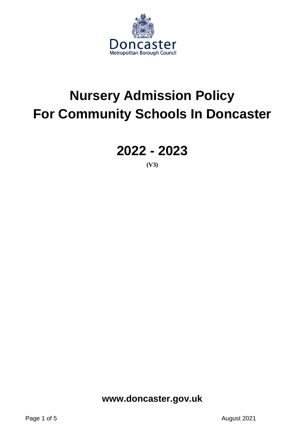

# **Nursery Admission Policy For Community Schools In Doncaster**

# **2022 - 2023**

**(V3)**

**www.doncaster.gov.uk**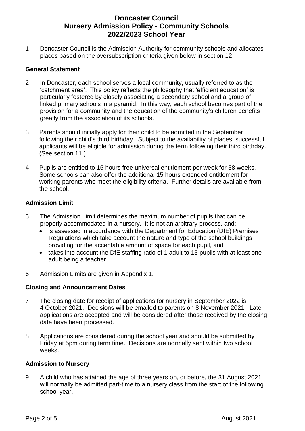# **Doncaster Council Nursery Admission Policy - Community Schools 2022/2023 School Year**

1 Doncaster Council is the Admission Authority for community schools and allocates places based on the oversubscription criteria given below in section 12.

# **General Statement**

- 2 In Doncaster, each school serves a local community, usually referred to as the 'catchment area'. This policy reflects the philosophy that 'efficient education' is particularly fostered by closely associating a secondary school and a group of linked primary schools in a pyramid. In this way, each school becomes part of the provision for a community and the education of the community's children benefits greatly from the association of its schools.
- 3 Parents should initially apply for their child to be admitted in the September following their child's third birthday. Subject to the availability of places, successful applicants will be eligible for admission during the term following their third birthday. (See section 11.)
- 4 Pupils are entitled to 15 hours free universal entitlement per week for 38 weeks. Some schools can also offer the additional 15 hours extended entitlement for working parents who meet the eligibility criteria. Further details are available from the school.

# **Admission Limit**

- 5 The Admission Limit determines the maximum number of pupils that can be properly accommodated in a nursery. It is not an arbitrary process, and;
	- is assessed in accordance with the Department for Education (DfE) Premises Regulations which take account the nature and type of the school buildings providing for the acceptable amount of space for each pupil, and
	- takes into account the DfE staffing ratio of 1 adult to 13 pupils with at least one adult being a teacher.
- 6 Admission Limits are given in Appendix 1.

# **Closing and Announcement Dates**

- 7 The closing date for receipt of applications for nursery in September 2022 is 4 October 2021. Decisions will be emailed to parents on 8 November 2021. Late applications are accepted and will be considered after those received by the closing date have been processed.
- 8 Applications are considered during the school year and should be submitted by Friday at 5pm during term time. Decisions are normally sent within two school weeks.

# **Admission to Nursery**

9 A child who has attained the age of three years on, or before, the 31 August 2021 will normally be admitted part-time to a nursery class from the start of the following school year.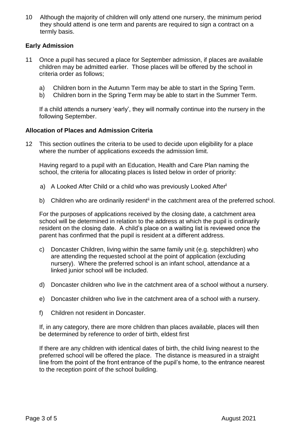10 Although the majority of children will only attend one nursery, the minimum period they should attend is one term and parents are required to sign a contract on a termly basis.

# **Early Admission**

- 11 Once a pupil has secured a place for September admission, if places are available children may be admitted earlier. Those places will be offered by the school in criteria order as follows;
	- a) Children born in the Autumn Term may be able to start in the Spring Term.
	- b) Children born in the Spring Term may be able to start in the Summer Term.

If a child attends a nursery 'early', they will normally continue into the nursery in the following September.

# **Allocation of Places and Admission Criteria**

12 This section outlines the criteria to be used to decide upon eligibility for a place where the number of applications exceeds the admission limit.

Having regard to a pupil with an Education, Health and Care Plan naming the school, the criteria for allocating places is listed below in order of priority:

- a) A Looked After Child or a child who was previously Looked After**<sup>i</sup>**
- b) Children who are ordinarily resident<sup>ii</sup> in the catchment area of the preferred school.

For the purposes of applications received by the closing date, a catchment area school will be determined in relation to the address at which the pupil is ordinarily resident on the closing date. A child's place on a waiting list is reviewed once the parent has confirmed that the pupil is resident at a different address.

- c) Doncaster Children, living within the same family unit (e.g. stepchildren) who are attending the requested school at the point of application (excluding nursery). Where the preferred school is an infant school, attendance at a linked junior school will be included.
- d) Doncaster children who live in the catchment area of a school without a nursery.
- e) Doncaster children who live in the catchment area of a school with a nursery.
- f) Children not resident in Doncaster.

If, in any category, there are more children than places available, places will then be determined by reference to order of birth, eldest first

If there are any children with identical dates of birth, the child living nearest to the preferred school will be offered the place. The distance is measured in a straight line from the point of the front entrance of the pupil's home, to the entrance nearest to the reception point of the school building.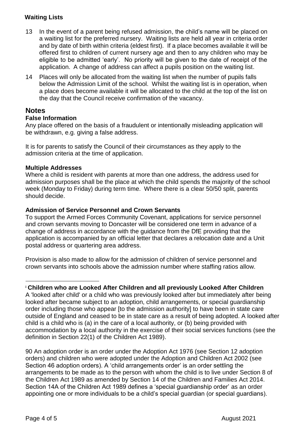# **Waiting Lists**

- 13 In the event of a parent being refused admission, the child's name will be placed on a waiting list for the preferred nursery. Waiting lists are held all year in criteria order and by date of birth within criteria (eldest first). If a place becomes available it will be offered first to children of current nursery age and then to any children who may be eligible to be admitted 'early'. No priority will be given to the date of receipt of the application. A change of address can affect a pupils position on the waiting list.
- 14 Places will only be allocated from the waiting list when the number of pupils falls below the Admission Limit of the school. Whilst the waiting list is in operation, when a place does become available it will be allocated to the child at the top of the list on the day that the Council receive confirmation of the vacancy.

# **Notes**

# **False Information**

Any place offered on the basis of a fraudulent or intentionally misleading application will be withdrawn, e.g. giving a false address.

It is for parents to satisfy the Council of their circumstances as they apply to the admission criteria at the time of application.

# **Multiple Addresses**

Where a child is resident with parents at more than one address, the address used for admission purposes shall be the place at which the child spends the majority of the school week (Monday to Friday) during term time. Where there is a clear 50/50 split, parents should decide.

# **Admission of Service Personnel and Crown Servants**

To support the Armed Forces Community Covenant, applications for service personnel and crown servants moving to Doncaster will be considered one term in advance of a change of address in accordance with the guidance from the DfE providing that the application is accompanied by an official letter that declares a relocation date and a Unit postal address or quartering area address.

Provision is also made to allow for the admission of children of service personnel and crown servants into schools above the admission number where staffing ratios allow.

# **<sup>i</sup> Children who are Looked After Children and all previously Looked After Children**

A 'looked after child' or a child who was previously looked after but immediately after being looked after became subject to an adoption, child arrangements, or special guardianship order including those who appear [to the admission authority] to have been in state care outside of England and ceased to be in state care as a result of being adopted. A looked after child is a child who is (a) in the care of a local authority, or (b) being provided with accommodation by a local authority in the exercise of their social services functions (see the definition in Section 22(1) of the Children Act 1989).

90 An adoption order is an order under the Adoption Act 1976 (see Section 12 adoption orders) and children who were adopted under the Adoption and Children Act 2002 (see Section 46 adoption orders). A 'child arrangements order' is an order settling the arrangements to be made as to the person with whom the child is to live under Section 8 of the Children Act 1989 as amended by Section 14 of the Children and Families Act 2014. Section 14A of the Children Act 1989 defines a 'special guardianship order' as an order appointing one or more individuals to be a child's special guardian (or special guardians).

 $\overline{a}$